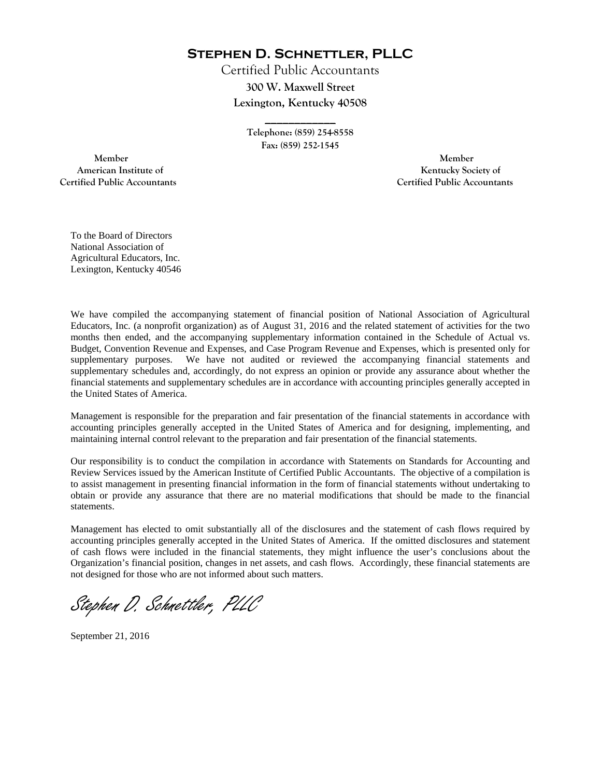**Stephen D. Schnettler, PLLC**

Certified Public Accountants **300 W. Maxwell Street Lexington, Kentucky 40508** 

> **Telephone: (859) 254-8558 Fax: (859) 252-1545**

**\_\_\_\_\_\_\_\_\_\_\_\_** 

 **Member Member Certified Public Accountants Certified Public Accountants** 

American Institute of **Kentucky Society of** 

To the Board of Directors National Association of Agricultural Educators, Inc. Lexington, Kentucky 40546

We have compiled the accompanying statement of financial position of National Association of Agricultural Educators, Inc. (a nonprofit organization) as of August 31, 2016 and the related statement of activities for the two months then ended, and the accompanying supplementary information contained in the Schedule of Actual vs. Budget, Convention Revenue and Expenses, and Case Program Revenue and Expenses, which is presented only for supplementary purposes. We have not audited or reviewed the accompanying financial statements and supplementary schedules and, accordingly, do not express an opinion or provide any assurance about whether the financial statements and supplementary schedules are in accordance with accounting principles generally accepted in the United States of America.

Management is responsible for the preparation and fair presentation of the financial statements in accordance with accounting principles generally accepted in the United States of America and for designing, implementing, and maintaining internal control relevant to the preparation and fair presentation of the financial statements.

Our responsibility is to conduct the compilation in accordance with Statements on Standards for Accounting and Review Services issued by the American Institute of Certified Public Accountants. The objective of a compilation is to assist management in presenting financial information in the form of financial statements without undertaking to obtain or provide any assurance that there are no material modifications that should be made to the financial statements.

Management has elected to omit substantially all of the disclosures and the statement of cash flows required by accounting principles generally accepted in the United States of America. If the omitted disclosures and statement of cash flows were included in the financial statements, they might influence the user's conclusions about the Organization's financial position, changes in net assets, and cash flows. Accordingly, these financial statements are not designed for those who are not informed about such matters.

Stephen D. Schnettler, PLLC

September 21, 2016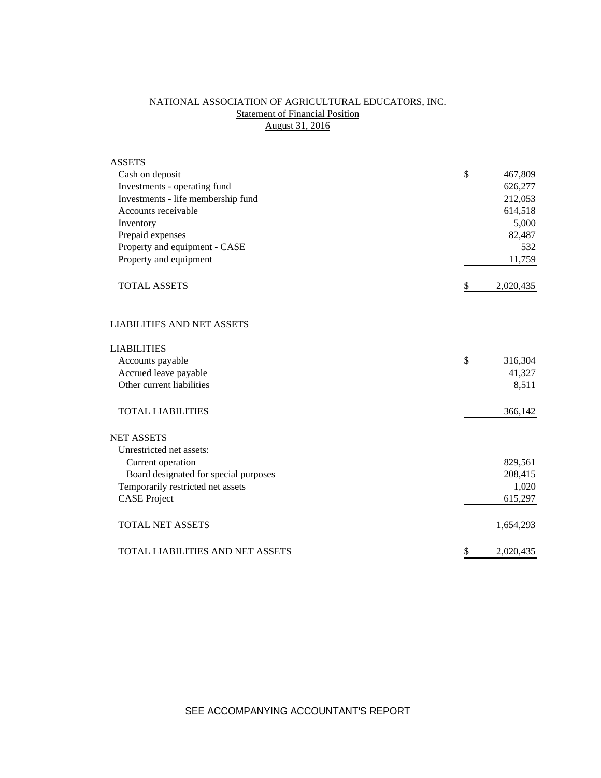# NATIONAL ASSOCIATION OF AGRICULTURAL EDUCATORS, INC. **Statement of Financial Position** August 31, 2016

| <b>ASSETS</b>                         |                 |
|---------------------------------------|-----------------|
| Cash on deposit                       | \$<br>467,809   |
| Investments - operating fund          | 626,277         |
| Investments - life membership fund    | 212,053         |
| Accounts receivable                   | 614,518         |
| Inventory                             | 5,000           |
| Prepaid expenses                      | 82,487          |
| Property and equipment - CASE         | 532             |
| Property and equipment                | 11,759          |
| <b>TOTAL ASSETS</b>                   | \$<br>2,020,435 |
| <b>LIABILITIES AND NET ASSETS</b>     |                 |
| <b>LIABILITIES</b>                    |                 |
| Accounts payable                      | \$<br>316,304   |
| Accrued leave payable                 | 41,327          |
| Other current liabilities             | 8,511           |
| <b>TOTAL LIABILITIES</b>              | 366,142         |
| <b>NET ASSETS</b>                     |                 |
| Unrestricted net assets:              |                 |
| Current operation                     | 829,561         |
| Board designated for special purposes | 208,415         |
| Temporarily restricted net assets     | 1,020           |
| <b>CASE Project</b>                   | 615,297         |
| <b>TOTAL NET ASSETS</b>               | 1,654,293       |
| TOTAL LIABILITIES AND NET ASSETS      | \$<br>2,020,435 |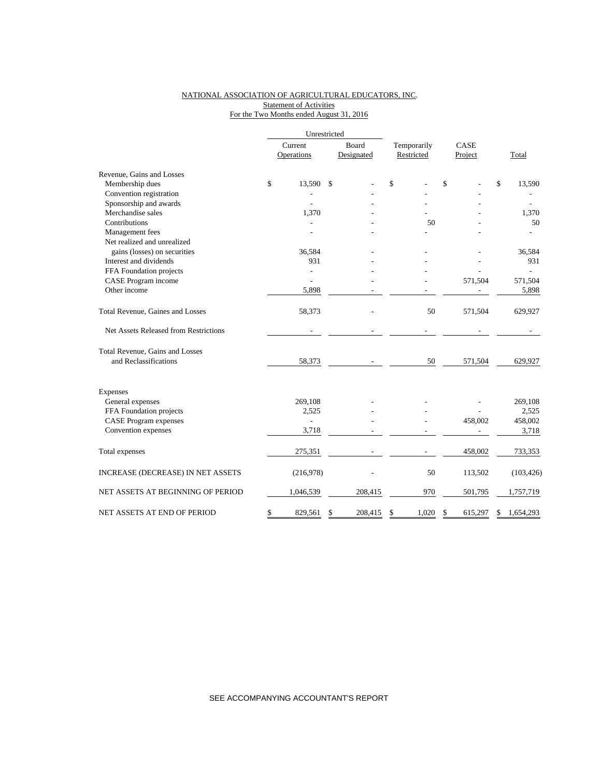#### NATIONAL ASSOCIATION OF AGRICULTURAL EDUCATORS, INC. **Statement of Activities** For the Two Months ended August 31, 2016

|                                       |    | Current<br>Operations |    | Board<br>Designated | Temporarily<br>Restricted |       |    | CASE<br>Project | Total           |
|---------------------------------------|----|-----------------------|----|---------------------|---------------------------|-------|----|-----------------|-----------------|
| Revenue, Gains and Losses             |    |                       |    |                     |                           |       |    |                 |                 |
| Membership dues                       | \$ | 13,590                | \$ |                     | \$                        |       | \$ |                 | \$<br>13,590    |
| Convention registration               |    |                       |    |                     |                           |       |    |                 |                 |
| Sponsorship and awards                |    |                       |    |                     |                           |       |    |                 |                 |
| Merchandise sales                     |    | 1,370                 |    |                     |                           |       |    |                 | 1,370           |
| Contributions                         |    |                       |    |                     |                           | 50    |    |                 | 50              |
| Management fees                       |    |                       |    |                     |                           |       |    |                 |                 |
| Net realized and unrealized           |    |                       |    |                     |                           |       |    |                 |                 |
| gains (losses) on securities          |    | 36,584                |    |                     |                           |       |    |                 | 36,584          |
| Interest and dividends                |    | 931                   |    |                     |                           |       |    |                 | 931             |
| FFA Foundation projects               |    |                       |    |                     |                           |       |    |                 |                 |
| CASE Program income                   |    |                       |    |                     |                           |       |    | 571,504         | 571,504         |
| Other income                          |    | 5,898                 |    |                     |                           |       |    |                 | 5,898           |
| Total Revenue, Gaines and Losses      |    | 58,373                |    |                     |                           | 50    |    | 571,504         | 629,927         |
| Net Assets Released from Restrictions |    |                       |    |                     |                           |       |    |                 |                 |
| Total Revenue, Gains and Losses       |    |                       |    |                     |                           |       |    |                 |                 |
| and Reclassifications                 |    | 58,373                |    |                     |                           | 50    |    | 571,504         | 629,927         |
| Expenses                              |    |                       |    |                     |                           |       |    |                 |                 |
| General expenses                      |    | 269,108               |    |                     |                           |       |    |                 | 269,108         |
| FFA Foundation projects               |    | 2,525                 |    |                     |                           |       |    |                 | 2,525           |
| <b>CASE</b> Program expenses          |    | $\overline{a}$        |    |                     |                           |       |    | 458,002         | 458,002         |
| Convention expenses                   |    | 3,718                 |    |                     |                           |       |    |                 | 3,718           |
| Total expenses                        |    | 275,351               |    |                     |                           |       |    | 458,002         | 733,353         |
| INCREASE (DECREASE) IN NET ASSETS     |    | (216,978)             |    |                     |                           | 50    |    | 113,502         | (103, 426)      |
| NET ASSETS AT BEGINNING OF PERIOD     |    | 1,046,539             |    | 208,415             |                           | 970   |    | 501,795         | 1,757,719       |
| NET ASSETS AT END OF PERIOD           | \$ | 829,561               | \$ | 208,415             | \$                        | 1.020 | \$ | 615,297         | \$<br>1,654,293 |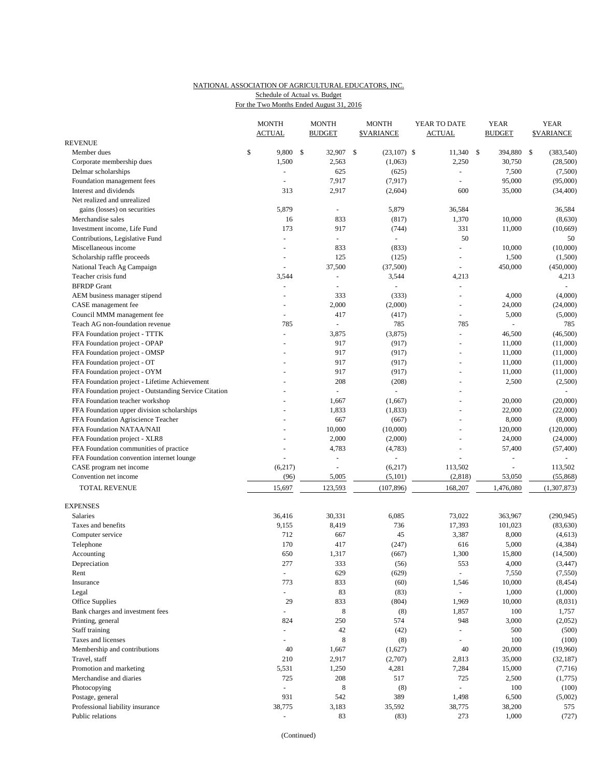## NATIONAL ASSOCIATION OF AGRICULTURAL EDUCATORS, INC. Schedule of Actual vs. Budget

|  |  | For the Two Months Ended August 31, 2016 |  |  |
|--|--|------------------------------------------|--|--|
|  |  |                                          |  |  |

|                                                       |    | <b>MONTH</b><br><b>ACTUAL</b> |     | <b>MONTH</b><br><b>BUDGET</b> |     | <b>MONTH</b><br><b><i>SVARIANCE</i></b> |  | YEAR TO DATE<br><b>ACTUAL</b> |  | <b>YEAR</b><br><b>BUDGET</b> | <b>YEAR</b><br><b>SVARIANCE</b> |             |
|-------------------------------------------------------|----|-------------------------------|-----|-------------------------------|-----|-----------------------------------------|--|-------------------------------|--|------------------------------|---------------------------------|-------------|
| <b>REVENUE</b>                                        |    |                               |     |                               |     |                                         |  |                               |  |                              |                                 |             |
| Member dues                                           | \$ | 9,800                         | -\$ | 32,907                        | -\$ | $(23,107)$ \$                           |  | $11,340$ \$                   |  | 394,880                      | -S                              | (383, 540)  |
| Corporate membership dues                             |    | 1,500                         |     | 2,563                         |     | (1,063)                                 |  | 2,250                         |  | 30,750                       |                                 | (28,500)    |
| Delmar scholarships                                   |    | ä,                            |     | 625                           |     | (625)                                   |  | $\sim$                        |  | 7,500                        |                                 | (7,500)     |
| Foundation management fees                            |    |                               |     | 7,917                         |     | (7, 917)                                |  |                               |  | 95,000                       |                                 | (95,000)    |
| Interest and dividends                                |    | 313                           |     | 2,917                         |     | (2,604)                                 |  | 600                           |  | 35,000                       |                                 | (34, 400)   |
| Net realized and unrealized                           |    |                               |     |                               |     |                                         |  |                               |  |                              |                                 |             |
| gains (losses) on securities                          |    | 5,879                         |     | $\blacksquare$                |     | 5,879                                   |  | 36,584                        |  |                              |                                 | 36,584      |
| Merchandise sales                                     |    | 16                            |     | 833                           |     | (817)                                   |  | 1,370                         |  | 10,000                       |                                 | (8,630)     |
| Investment income. Life Fund                          |    | 173                           |     | 917                           |     | (744)                                   |  | 331                           |  | 11,000                       |                                 | (10, 669)   |
| Contributions, Legislative Fund                       |    | ÷,                            |     | $\blacksquare$                |     | $\omega$                                |  | 50                            |  |                              |                                 | 50          |
| Miscellaneous income                                  |    | $\overline{a}$                |     | 833                           |     | (833)                                   |  | $\sim$                        |  | 10,000                       |                                 | (10,000)    |
| Scholarship raffle proceeds                           |    | $\blacksquare$                |     | 125                           |     | (125)                                   |  | ÷,                            |  | 1,500                        |                                 | (1,500)     |
| National Teach Ag Campaign                            |    | L.                            |     | 37,500                        |     | (37,500)                                |  | $\sim$                        |  | 450,000                      |                                 | (450,000)   |
| Teacher crisis fund                                   |    | 3,544                         |     | $\blacksquare$                |     | 3,544                                   |  | 4,213                         |  |                              |                                 | 4,213       |
| <b>BFRDP</b> Grant                                    |    | $\blacksquare$                |     | $\sim$                        |     | $\blacksquare$                          |  | $\blacksquare$                |  |                              |                                 | $\omega$    |
| AEM business manager stipend                          |    |                               |     | 333                           |     | (333)                                   |  | ÷,                            |  | 4,000                        |                                 | (4,000)     |
| CASE management fee                                   |    | $\overline{a}$                |     | 2,000                         |     | (2,000)                                 |  | ÷.                            |  | 24,000                       |                                 | (24,000)    |
| Council MMM management fee                            |    | ä,                            |     | 417                           |     | (417)                                   |  | $\overline{\phantom{a}}$      |  | 5,000                        |                                 | (5,000)     |
| Teach AG non-foundation revenue                       |    | 785                           |     | $\overline{\phantom{a}}$      |     | 785                                     |  | 785                           |  | $\overline{\phantom{a}}$     |                                 | 785         |
| FFA Foundation project - TTTK                         |    | ä,                            |     | 3,875                         |     | (3,875)                                 |  | $\blacksquare$                |  | 46,500                       |                                 | (46,500)    |
| FFA Foundation project - OPAP                         |    |                               |     | 917                           |     | (917)                                   |  | ÷.                            |  | 11,000                       |                                 | (11,000)    |
| FFA Foundation project - OMSP                         |    |                               |     | 917                           |     | (917)                                   |  | ÷,                            |  | 11,000                       |                                 | (11,000)    |
| FFA Foundation project - OT                           |    |                               |     | 917                           |     | (917)                                   |  | $\sim$                        |  | 11,000                       |                                 | (11,000)    |
| FFA Foundation project - OYM                          |    |                               |     | 917                           |     | (917)                                   |  | $\sim$                        |  | 11,000                       |                                 | (11,000)    |
| FFA Foundation project - Lifetime Achievement         |    |                               |     | 208                           |     | (208)                                   |  | $\overline{a}$                |  | 2,500                        |                                 | (2,500)     |
| FFA Foundation project - Outstanding Service Citation |    |                               |     | ÷,                            |     | ä,                                      |  | ÷,                            |  |                              |                                 | ÷,          |
| FFA Foundation teacher workshop                       |    |                               |     | 1,667                         |     | (1,667)                                 |  |                               |  | 20,000                       |                                 | (20,000)    |
| FFA Foundation upper division scholarships            |    |                               |     | 1,833                         |     | (1, 833)                                |  | $\sim$                        |  | 22,000                       |                                 | (22,000)    |
| FFA Foundation Agriscience Teacher                    |    |                               |     | 667                           |     | (667)                                   |  |                               |  | 8,000                        |                                 | (8,000)     |
| FFA Foundation NATAA/NAII                             |    |                               |     | 10,000                        |     | (10,000)                                |  | $\sim$                        |  | 120,000                      |                                 | (120,000)   |
| FFA Foundation project - XLR8                         |    |                               |     | 2,000                         |     | (2,000)                                 |  |                               |  | 24,000                       |                                 | (24,000)    |
| FFA Foundation communities of practice                |    |                               |     | 4,783                         |     | (4,783)                                 |  | $\sim$                        |  | 57,400                       |                                 | (57, 400)   |
| FFA Foundation convention internet lounge             |    |                               |     | $\overline{\phantom{a}}$      |     |                                         |  |                               |  | $\sim$                       |                                 |             |
| CASE program net income                               |    | (6,217)                       |     | ÷,                            |     | (6,217)                                 |  | 113,502                       |  |                              |                                 | 113,502     |
| Convention net income                                 |    | (96)                          |     | 5,005                         |     | (5, 101)                                |  | (2, 818)                      |  | 53,050                       |                                 | (55,868)    |
| <b>TOTAL REVENUE</b>                                  |    | 15,697                        |     | 123,593                       |     | (107, 896)                              |  | 168,207                       |  | 1,476,080                    |                                 | (1,307,873) |
| <b>EXPENSES</b>                                       |    |                               |     |                               |     |                                         |  |                               |  |                              |                                 |             |
| Salaries                                              |    | 36,416                        |     | 30,331                        |     | 6,085                                   |  | 73,022                        |  | 363,967                      |                                 | (290, 945)  |
| Taxes and benefits                                    |    | 9,155                         |     | 8,419                         |     | 736                                     |  | 17,393                        |  | 101,023                      |                                 | (83, 630)   |
| Computer service                                      |    | 712                           |     | 667                           |     | 45                                      |  | 3,387                         |  | 8,000                        |                                 | (4,613)     |
| Telephone                                             |    | 170                           |     | 417                           |     | (247)                                   |  | 616                           |  | 5,000                        |                                 | (4, 384)    |
| Accounting                                            |    | 650                           |     | 1,317                         |     | (667)                                   |  | 1,300                         |  | 15,800                       |                                 | (14,500)    |
| Depreciation                                          |    | 277                           |     | 333                           |     | (56)                                    |  | 553                           |  | 4,000                        |                                 | (3, 447)    |
| Rent                                                  |    | $\overline{\phantom{a}}$      |     | 629                           |     | (629)                                   |  | $\bar{\phantom{a}}$           |  | 7,550                        |                                 | (7,550)     |
| Insurance                                             |    | 773                           |     | 833                           |     | (60)                                    |  | 1,546                         |  | 10,000                       |                                 | (8, 454)    |
| Legal                                                 |    | ÷.                            |     | 83                            |     | (83)                                    |  | $\Box$                        |  | 1,000                        |                                 | (1,000)     |
| Office Supplies                                       |    | 29                            |     | 833                           |     | (804)                                   |  | 1,969                         |  | 10,000                       |                                 | (8,031)     |
| Bank charges and investment fees                      |    | ÷,                            |     | $\,8\,$                       |     | (8)                                     |  | 1,857                         |  | 100                          |                                 | 1,757       |
| Printing, general                                     |    | 824                           |     | 250                           |     | 574                                     |  | 948                           |  | 3,000                        |                                 | (2,052)     |
| Staff training                                        |    | ä,                            |     | $42\,$                        |     | (42)                                    |  | $\sim$                        |  | 500                          |                                 | (500)       |
| Taxes and licenses                                    |    | $\overline{\phantom{a}}$      |     | $\,$ 8 $\,$                   |     | (8)                                     |  | $\bar{\phantom{a}}$           |  | 100                          |                                 | (100)       |
| Membership and contributions                          |    | 40                            |     | 1,667                         |     | (1,627)                                 |  | 40                            |  | 20,000                       |                                 | (19,960)    |
| Travel, staff                                         |    | 210                           |     | 2,917                         |     | (2,707)                                 |  | 2,813                         |  | 35,000                       |                                 | (32, 187)   |
| Promotion and marketing                               |    | 5,531                         |     | 1,250                         |     | 4,281                                   |  | 7,284                         |  | 15,000                       |                                 | (7,716)     |
| Merchandise and diaries                               |    | 725                           |     | 208                           |     | 517                                     |  | 725                           |  | 2,500                        |                                 | (1,775)     |
| Photocopying                                          |    | $\frac{1}{2}$                 |     | 8                             |     | (8)                                     |  | ÷,                            |  | 100                          |                                 | (100)       |
| Postage, general                                      |    | 931                           |     | 542                           |     | 389                                     |  | 1,498                         |  | 6,500                        |                                 | (5,002)     |
| Professional liability insurance                      |    | 38,775                        |     | 3,183                         |     | 35,592                                  |  | 38,775                        |  | 38,200                       |                                 | 575         |
| Public relations                                      |    | $\overline{\phantom{a}}$      |     | 83                            |     | (83)                                    |  | 273                           |  | 1,000                        |                                 | (727)       |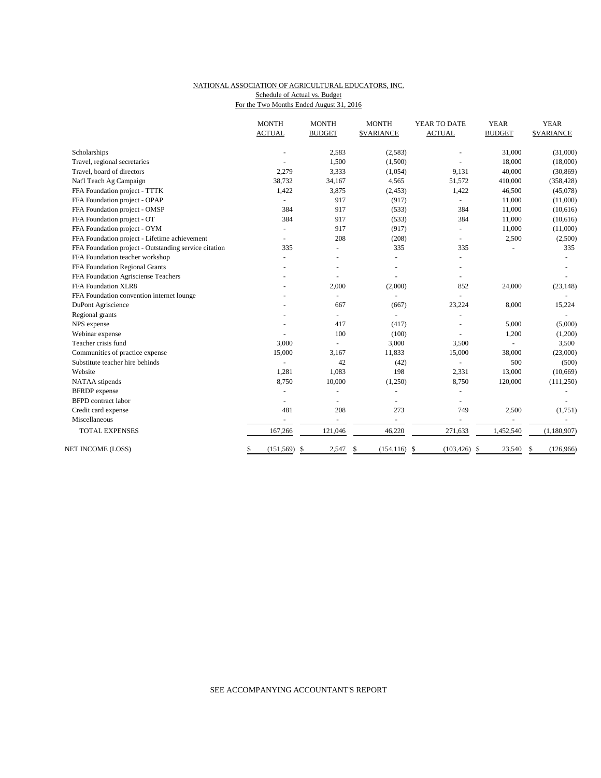#### NATIONAL ASSOCIATION OF AGRICULTURAL EDUCATORS, INC. Schedule of Actual vs. Budget

For the Two Months Ended August 31, 2016

|                                                       | <b>MONTH</b><br><b>ACTUAL</b> | <b>MONTH</b><br><b>BUDGET</b> | <b>MONTH</b><br><b>\$VARIANCE</b> | YEAR TO DATE<br><b>ACTUAL</b> | <b>YEAR</b><br><b>BUDGET</b> | <b>YEAR</b><br><b>\$VARIANCE</b> |
|-------------------------------------------------------|-------------------------------|-------------------------------|-----------------------------------|-------------------------------|------------------------------|----------------------------------|
| Scholarships                                          |                               | 2,583                         | (2,583)                           |                               | 31,000                       | (31,000)                         |
| Travel, regional secretaries                          |                               | 1,500                         | (1,500)                           |                               | 18,000                       | (18,000)                         |
| Travel, board of directors                            | 2,279                         | 3,333                         | (1,054)                           | 9,131                         | 40,000                       | (30, 869)                        |
| Nat'l Teach Ag Campaign                               | 38,732                        | 34,167                        | 4,565                             | 51,572                        | 410,000                      | (358, 428)                       |
| FFA Foundation project - TTTK                         | 1,422                         | 3,875                         | (2, 453)                          | 1,422                         | 46,500                       | (45,078)                         |
| FFA Foundation project - OPAP                         |                               | 917                           | (917)                             | $\sim$                        | 11,000                       | (11,000)                         |
| FFA Foundation project - OMSP                         | 384                           | 917                           | (533)                             | 384                           | 11,000                       | (10,616)                         |
| FFA Foundation project - OT                           | 384                           | 917                           | (533)                             | 384                           | 11,000                       | (10,616)                         |
| FFA Foundation project - OYM                          |                               | 917                           | (917)                             |                               | 11,000                       | (11,000)                         |
| FFA Foundation project - Lifetime achievement         |                               | 208                           | (208)                             | $\sim$                        | 2,500                        | (2,500)                          |
| FFA Foundation project - Outstanding service citation | 335                           |                               | 335                               | 335                           |                              | 335                              |
| FFA Foundation teacher workshop                       |                               |                               | ÷,                                |                               |                              |                                  |
| FFA Foundation Regional Grants                        |                               |                               | $\overline{a}$                    |                               |                              |                                  |
| FFA Foundation Agrisciense Teachers                   |                               |                               | $\sim$                            |                               |                              |                                  |
| FFA Foundation XLR8                                   |                               | 2,000                         | (2,000)                           | 852                           | 24,000                       | (23, 148)                        |
| FFA Foundation convention internet lounge             |                               |                               | L.                                |                               |                              |                                  |
| DuPont Agriscience                                    |                               | 667                           | (667)                             | 23,224                        | 8,000                        | 15,224                           |
| Regional grants                                       |                               | $\overline{a}$                | ÷,                                |                               |                              |                                  |
| NPS expense                                           |                               | 417                           | (417)                             |                               | 5,000                        | (5,000)                          |
| Webinar expense                                       |                               | 100                           | (100)                             |                               | 1,200                        | (1,200)                          |
| Teacher crisis fund                                   | 3,000                         |                               | 3,000                             | 3,500                         |                              | 3,500                            |
| Communities of practice expense                       | 15,000                        | 3,167                         | 11,833                            | 15,000                        | 38,000                       | (23,000)                         |
| Substitute teacher hire behinds                       | $\overline{a}$                | 42                            | (42)                              | $\sim$                        | 500                          | (500)                            |
| Website                                               | 1,281                         | 1,083                         | 198                               | 2,331                         | 13,000                       | (10,669)                         |
| NATAA stipends                                        | 8,750                         | 10,000                        | (1,250)                           | 8,750                         | 120,000                      | (111, 250)                       |
| <b>BFRDP</b> expense                                  |                               |                               |                                   |                               |                              |                                  |
| <b>BFPD</b> contract labor                            |                               |                               |                                   |                               |                              |                                  |
| Credit card expense                                   | 481                           | 208                           | 273                               | 749                           | 2,500                        | (1,751)                          |
| Miscellaneous                                         | $\overline{a}$                | $\sim$                        | $\overline{\phantom{a}}$          | $\sim$                        | $\blacksquare$               |                                  |
| <b>TOTAL EXPENSES</b>                                 | 167,266                       | 121,046                       | 46,220                            | 271,633                       | 1,452,540                    | (1,180,907)                      |
| NET INCOME (LOSS)                                     | \$<br>$(151, 569)$ \$         | 2,547                         | \$<br>(154, 116)                  | \$<br>$(103, 426)$ \$         | 23,540                       | (126,966)<br>S                   |

## SEE ACCOMPANYING ACCOUNTANT'S REPORT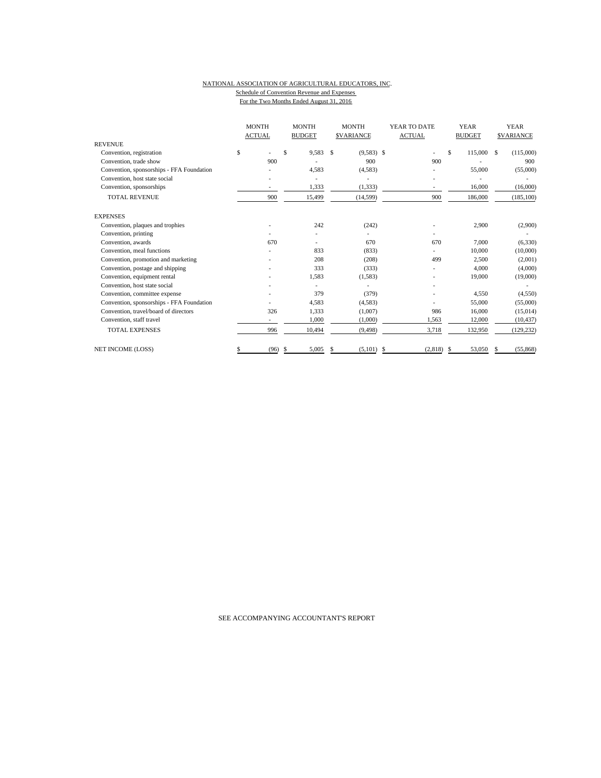#### NATIONAL ASSOCIATION OF AGRICULTURAL EDUCATORS, INC. Schedule of Convention Revenue and Expenses For the Two Months Ended August 31, 2016

| <b>REVENUE</b>                            | <b>MONTH</b><br><b>ACTUAL</b> |      | <b>MONTH</b><br><b>BUDGET</b> |    | <b>MONTH</b><br><b>SVARIANCE</b> |  | YEAR TO DATE<br><b>ACTUAL</b> |    | <b>YEAR</b><br><b>BUDGET</b> | <b>YEAR</b><br><b>SVARIANCE</b> |            |
|-------------------------------------------|-------------------------------|------|-------------------------------|----|----------------------------------|--|-------------------------------|----|------------------------------|---------------------------------|------------|
|                                           |                               |      |                               |    |                                  |  |                               |    |                              |                                 |            |
| Convention, registration                  | \$                            |      | \$.<br>9,583                  | S  | $(9,583)$ \$                     |  |                               | \$ | 115,000                      | S                               | (115,000)  |
| Convention, trade show                    | 900                           |      |                               |    | 900                              |  | 900                           |    |                              |                                 | 900        |
| Convention, sponsorships - FFA Foundation |                               |      | 4,583                         |    | (4,583)                          |  |                               |    | 55,000                       |                                 | (55,000)   |
| Convention, host state social             |                               |      |                               |    |                                  |  |                               |    |                              |                                 |            |
| Convention, sponsorships                  |                               |      | 1,333                         |    | (1, 333)                         |  | $\overline{a}$                |    | 16,000                       |                                 | (16,000)   |
| <b>TOTAL REVENUE</b>                      | 900                           |      | 15,499                        |    | (14, 599)                        |  | 900                           |    | 186,000                      |                                 | (185, 100) |
| <b>EXPENSES</b>                           |                               |      |                               |    |                                  |  |                               |    |                              |                                 |            |
| Convention, plaques and trophies          |                               |      | 242                           |    | (242)                            |  |                               |    | 2,900                        |                                 | (2,900)    |
| Convention, printing                      |                               |      |                               |    |                                  |  |                               |    |                              |                                 |            |
| Convention, awards                        | 670                           |      |                               |    | 670                              |  | 670                           |    | 7,000                        |                                 | (6, 330)   |
| Convention, meal functions                |                               |      | 833                           |    | (833)                            |  |                               |    | 10,000                       |                                 | (10,000)   |
| Convention, promotion and marketing       |                               |      | 208                           |    | (208)                            |  | 499                           |    | 2,500                        |                                 | (2,001)    |
| Convention, postage and shipping          |                               |      | 333                           |    | (333)                            |  |                               |    | 4,000                        |                                 | (4,000)    |
| Convention, equipment rental              |                               |      | 1,583                         |    | (1,583)                          |  |                               |    | 19,000                       |                                 | (19,000)   |
| Convention, host state social             |                               |      |                               |    |                                  |  |                               |    |                              |                                 |            |
| Convention, committee expense             |                               |      | 379                           |    | (379)                            |  |                               |    | 4.550                        |                                 | (4,550)    |
| Convention, sponsorships - FFA Foundation |                               |      | 4,583                         |    | (4,583)                          |  |                               |    | 55,000                       |                                 | (55,000)   |
| Convention, travel/board of directors     | 326                           |      | 1,333                         |    | (1,007)                          |  | 986                           |    | 16,000                       |                                 | (15,014)   |
| Convention, staff travel                  |                               |      | 1,000                         |    | (1,000)                          |  | 1,563                         |    | 12,000                       |                                 | (10, 437)  |
| <b>TOTAL EXPENSES</b>                     | 996                           |      | 10,494                        |    | (9, 498)                         |  | 3,718                         |    | 132,950                      |                                 | (129, 232) |
| <b>NET INCOME (LOSS)</b>                  |                               | (96) | \$<br>5,005                   | S. | $(5,101)$ \$                     |  | $(2,818)$ \$                  |    | 53,050                       | \$                              | (55, 868)  |

SEE ACCOMPANYING ACCOUNTANT'S REPORT